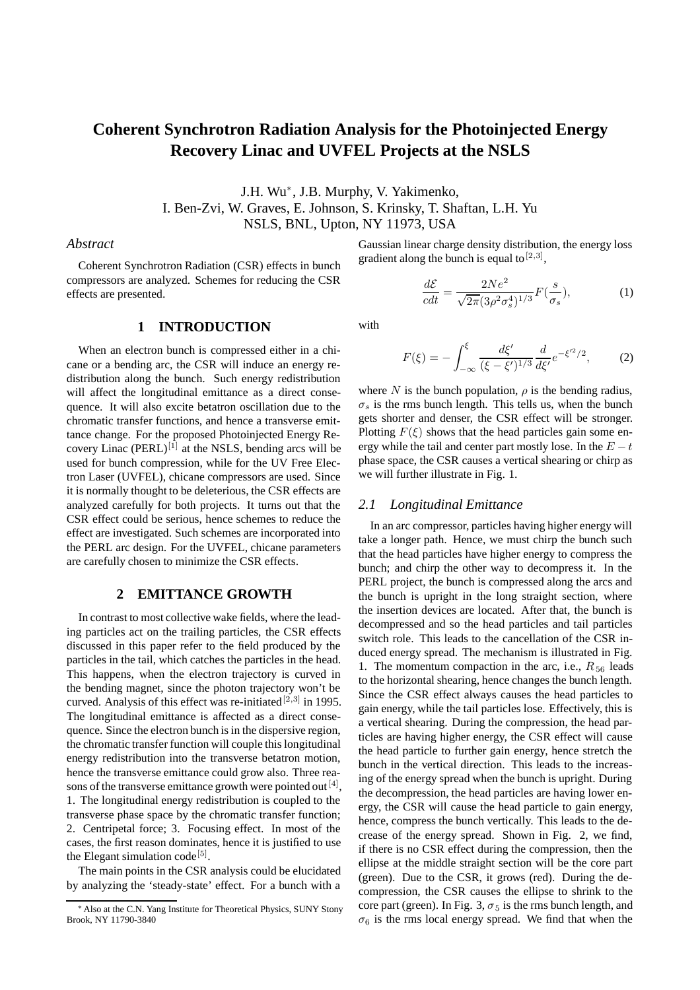# **Coherent Synchrotron Radiation Analysis for the Photoinjected Energy Recovery Linac and UVFEL Projects at the NSLS**

J.H. Wu∗, J.B. Murphy, V. Yakimenko,

I. Ben-Zvi, W. Graves, E. Johnson, S. Krinsky, T. Shaftan, L.H. Yu

NSLS, BNL, Upton, NY 11973, USA

## *Abstract*

Coherent Synchrotron Radiation (CSR) effects in bunch compressors are analyzed. Schemes for reducing the CSR effects are presented.

# gradient along the bunch is equal to  $[2,3]$ ,

Gaussian linear charge density distribution, the energy loss

$$
\frac{d\mathcal{E}}{cdt} = \frac{2Ne^2}{\sqrt{2\pi}(3\rho^2 \sigma_s^4)^{1/3}} F(\frac{s}{\sigma_s}),\tag{1}
$$

# **1 INTRODUCTION**

When an electron bunch is compressed either in a chicane or a bending arc, the CSR will induce an energy redistribution along the bunch. Such energy redistribution will affect the longitudinal emittance as a direct consequence. It will also excite betatron oscillation due to the chromatic transfer functions, and hence a transverse emittance change. For the proposed Photoinjected Energy Recovery Linac  $(PERL)^{[1]}$  at the NSLS, bending arcs will be used for bunch compression, while for the UV Free Electron Laser (UVFEL), chicane compressors are used. Since it is normally thought to be deleterious, the CSR effects are analyzed carefully for both projects. It turns out that the CSR effect could be serious, hence schemes to reduce the effect are investigated. Such schemes are incorporated into the PERL arc design. For the UVFEL, chicane parameters are carefully chosen to minimize the CSR effects.

#### **2 EMITTANCE GROWTH**

In contrast to most collective wake fields, where the leading particles act on the trailing particles, the CSR effects discussed in this paper refer to the field produced by the particles in the tail, which catches the particles in the head. This happens, when the electron trajectory is curved in the bending magnet, since the photon trajectory won't be curved. Analysis of this effect was re-initiated  $[2,3]$  in 1995. The longitudinal emittance is affected as a direct consequence. Since the electron bunch is in the dispersive region, the chromatic transfer function will couple this longitudinal energy redistribution into the transverse betatron motion, hence the transverse emittance could grow also. Three reasons of the transverse emittance growth were pointed out  $[4]$ , 1. The longitudinal energy redistribution is coupled to the transverse phase space by the chromatic transfer function; 2. Centripetal force; 3. Focusing effect. In most of the cases, the first reason dominates, hence it is justified to use the Elegant simulation code<sup>[5]</sup>.

The main points in the CSR analysis could be elucidated by analyzing the 'steady-state' effect. For a bunch with a with

$$
F(\xi) = -\int_{-\infty}^{\xi} \frac{d\xi'}{(\xi - \xi')^{1/3}} \frac{d}{d\xi'} e^{-\xi'^2/2},
$$
 (2)

where N is the bunch population,  $\rho$  is the bending radius,  $\sigma_s$  is the rms bunch length. This tells us, when the bunch gets shorter and denser, the CSR effect will be stronger. Plotting  $F(\xi)$  shows that the head particles gain some energy while the tail and center part mostly lose. In the  $E - t$ phase space, the CSR causes a vertical shearing or chirp as we will further illustrate in Fig. 1.

## *2.1 Longitudinal Emittance*

In an arc compressor, particles having higher energy will take a longer path. Hence, we must chirp the bunch such that the head particles have higher energy to compress the bunch; and chirp the other way to decompress it. In the PERL project, the bunch is compressed along the arcs and the bunch is upright in the long straight section, where the insertion devices are located. After that, the bunch is decompressed and so the head particles and tail particles switch role. This leads to the cancellation of the CSR induced energy spread. The mechanism is illustrated in Fig. 1. The momentum compaction in the arc, i.e.,  $R_{56}$  leads to the horizontal shearing, hence changes the bunch length. Since the CSR effect always causes the head particles to gain energy, while the tail particles lose. Effectively, this is a vertical shearing. During the compression, the head particles are having higher energy, the CSR effect will cause the head particle to further gain energy, hence stretch the bunch in the vertical direction. This leads to the increasing of the energy spread when the bunch is upright. During the decompression, the head particles are having lower energy, the CSR will cause the head particle to gain energy, hence, compress the bunch vertically. This leads to the decrease of the energy spread. Shown in Fig. 2, we find, if there is no CSR effect during the compression, then the ellipse at the middle straight section will be the core part (green). Due to the CSR, it grows (red). During the decompression, the CSR causes the ellipse to shrink to the core part (green). In Fig. 3,  $\sigma_5$  is the rms bunch length, and  $\sigma_6$  is the rms local energy spread. We find that when the

<sup>∗</sup> Also at the C.N. Yang Institute for Theoretical Physics, SUNY Stony Brook, NY 11790-3840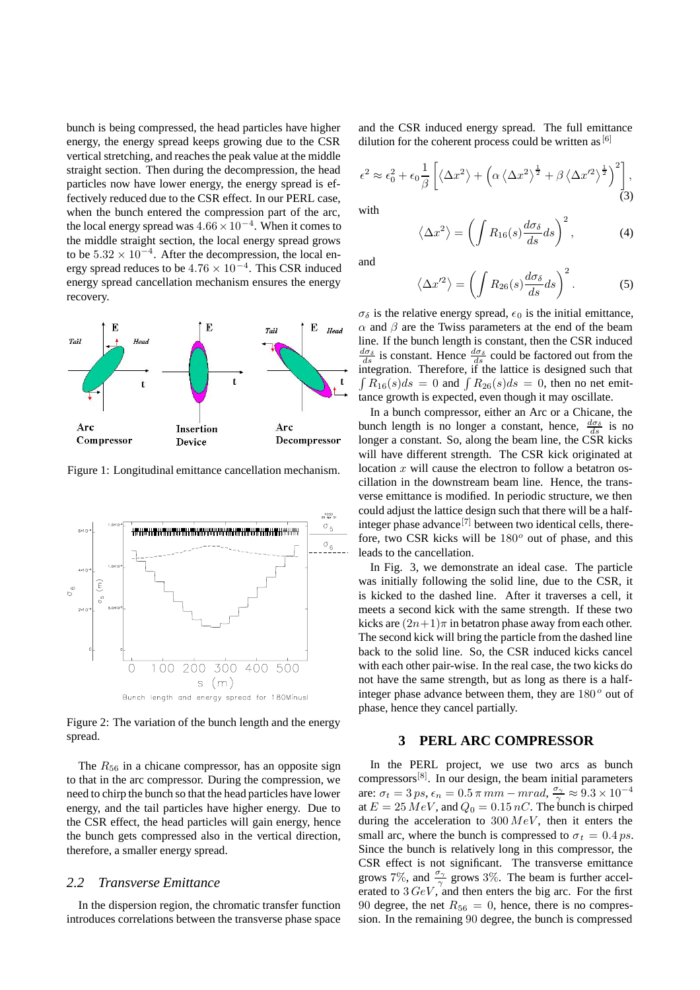bunch is being compressed, the head particles have higher energy, the energy spread keeps growing due to the CSR vertical stretching, and reaches the peak value at the middle straight section. Then during the decompression, the head particles now have lower energy, the energy spread is effectively reduced due to the CSR effect. In our PERL case, when the bunch entered the compression part of the arc, the local energy spread was  $4.66 \times 10^{-4}$ . When it comes to the middle straight section, the local energy spread grows to be  $5.32 \times 10^{-4}$ . After the decompression, the local energy spread reduces to be  $4.76 \times 10^{-4}$ . This CSR induced energy spread cancellation mechanism ensures the energy recovery.



Figure 1: Longitudinal emittance cancellation mechanism.



Figure 2: The variation of the bunch length and the energy spread.

The  $R_{56}$  in a chicane compressor, has an opposite sign to that in the arc compressor. During the compression, we need to chirp the bunch so that the head particles have lower energy, and the tail particles have higher energy. Due to the CSR effect, the head particles will gain energy, hence the bunch gets compressed also in the vertical direction, therefore, a smaller energy spread.

# *2.2 Transverse Emittance*

In the dispersion region, the chromatic transfer function introduces correlations between the transverse phase space and the CSR induced energy spread. The full emittance dilution for the coherent process could be written as  $[6]$ 

$$
\epsilon^2 \approx \epsilon_0^2 + \epsilon_0 \frac{1}{\beta} \left[ \left\langle \Delta x^2 \right\rangle + \left( \alpha \left\langle \Delta x^2 \right\rangle^{\frac{1}{2}} + \beta \left\langle \Delta x^2 \right\rangle^{\frac{1}{2}} \right)^2 \right],\tag{3}
$$

with

$$
\langle \Delta x^2 \rangle = \left( \int R_{16}(s) \frac{d\sigma_\delta}{ds} ds \right)^2, \tag{4}
$$

and

$$
\langle \Delta x'^2 \rangle = \left( \int R_{26}(s) \frac{d\sigma_{\delta}}{ds} ds \right)^2. \tag{5}
$$

 $\sigma_{\delta}$  is the relative energy spread,  $\epsilon_0$  is the initial emittance,  $\alpha$  and  $\beta$  are the Twiss parameters at the end of the beam line. If the bunch length is constant, then the CSR induced  $\frac{d\sigma_{\delta}}{ds}$  is constant. Hence  $\frac{d\sigma_{\delta}}{ds}$  could be factored out from the integration. Therefore, if the lattice is designed such that  $\int R_{16}(s)ds = 0$  and  $\int R_{26}(s)ds = 0$ , then no net emittance growth is expected, even though it may oscillate.

In a bunch compressor, either an Arc or a Chicane, the bunch length is no longer a constant, hence,  $\frac{d\sigma_{\delta}}{ds}$  is no longer a constant. So, along the beam line, the CSR kicks will have different strength. The CSR kick originated at location  $x$  will cause the electron to follow a betatron oscillation in the downstream beam line. Hence, the transverse emittance is modified. In periodic structure, we then could adjust the lattice design such that there will be a halfinteger phase advance<sup>[7]</sup> between two identical cells, therefore, two CSR kicks will be  $180^{\circ}$  out of phase, and this leads to the cancellation.

In Fig. 3, we demonstrate an ideal case. The particle was initially following the solid line, due to the CSR, it is kicked to the dashed line. After it traverses a cell, it meets a second kick with the same strength. If these two kicks are  $(2n+1)\pi$  in betatron phase away from each other. The second kick will bring the particle from the dashed line back to the solid line. So, the CSR induced kicks cancel with each other pair-wise. In the real case, the two kicks do not have the same strength, but as long as there is a halfinteger phase advance between them, they are  $180^{\circ}$  out of phase, hence they cancel partially.

#### **3 PERL ARC COMPRESSOR**

In the PERL project, we use two arcs as bunch compressors $[8]$ . In our design, the beam initial parameters are:  $\sigma_t = 3 ps, \epsilon_n = 0.5 \pi mm - mrad, \frac{\sigma_{\gamma}}{\gamma} \approx 9.3 \times 10^{-4}$ at  $E = 25 \, MeV$ , and  $Q_0 = 0.15 \, nC$ . The bunch is chirped during the acceleration to  $300 \, MeV$ , then it enters the small arc, where the bunch is compressed to  $\sigma_t = 0.4 \text{ ps}$ . Since the bunch is relatively long in this compressor, the CSR effect is not significant. The transverse emittance grows 7%, and  $\frac{\sigma_{\gamma}}{\gamma}$  grows 3%. The beam is further accelerated to  $3 \text{ GeV}$ , and then enters the big arc. For the first 90 degree, the net  $R_{56} = 0$ , hence, there is no compression. In the remaining 90 degree, the bunch is compressed